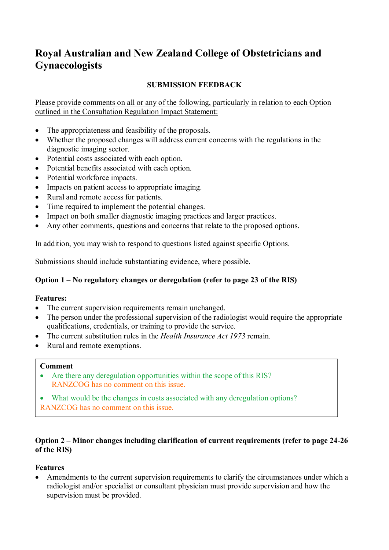# **Royal Australian and New Zealand College of Obstetricians and Gynaecologists**

# **SUBMISSION FEEDBACK**

Please provide comments on all or any of the following, particularly in relation to each Option outlined in the Consultation Regulation Impact Statement:

- The appropriateness and feasibility of the proposals.
- Whether the proposed changes will address current concerns with the regulations in the diagnostic imaging sector.
- Potential costs associated with each option.
- Potential benefits associated with each option.
- Potential workforce impacts.
- Impacts on patient access to appropriate imaging.
- Rural and remote access for patients.
- Time required to implement the potential changes.
- Impact on both smaller diagnostic imaging practices and larger practices.
- Any other comments, questions and concerns that relate to the proposed options.

In addition, you may wish to respond to questions listed against specific Options.

Submissions should include substantiating evidence, where possible.

# **Option 1 – No regulatory changes or deregulation (refer to page 23 of the RIS)**

# **Features:**

- The current supervision requirements remain unchanged.
- The person under the professional supervision of the radiologist would require the appropriate qualifications, credentials, or training to provide the service.
- The current substitution rules in the *Health Insurance Act 1973* remain.
- Rural and remote exemptions.

#### **Comment**

- Are there any deregulation opportunities within the scope of this RIS? RANZCOG has no comment on this issue.
- What would be the changes in costs associated with any deregulation options? RANZCOG has no comment on this issue.

# **Option 2 – Minor changes including clarification of current requirements (refer to page 24-26 of the RIS)**

# **Features**

 Amendments to the current supervision requirements to clarify the circumstances under which a radiologist and/or specialist or consultant physician must provide supervision and how the supervision must be provided.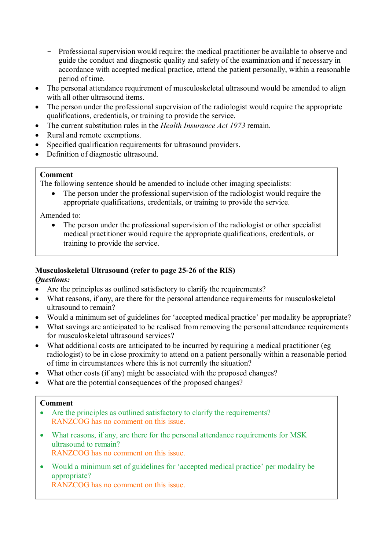- Professional supervision would require: the medical practitioner be available to observe and guide the conduct and diagnostic quality and safety of the examination and if necessary in accordance with accepted medical practice, attend the patient personally, within a reasonable period of time.
- The personal attendance requirement of musculoskeletal ultrasound would be amended to align with all other ultrasound items.
- The person under the professional supervision of the radiologist would require the appropriate qualifications, credentials, or training to provide the service.
- The current substitution rules in the *Health Insurance Act 1973* remain.
- Rural and remote exemptions.
- Specified qualification requirements for ultrasound providers.
- Definition of diagnostic ultrasound.

#### **Comment**

The following sentence should be amended to include other imaging specialists:

 The person under the professional supervision of the radiologist would require the appropriate qualifications, credentials, or training to provide the service.

Amended to:

• The person under the professional supervision of the radiologist or other specialist medical practitioner would require the appropriate qualifications, credentials, or training to provide the service.

# **Musculoskeletal Ultrasound (refer to page 25-26 of the RIS)**

# *Questions:*

- Are the principles as outlined satisfactory to clarify the requirements?
- What reasons, if any, are there for the personal attendance requirements for musculoskeletal ultrasound to remain?
- Would a minimum set of guidelines for 'accepted medical practice' per modality be appropriate?
- What savings are anticipated to be realised from removing the personal attendance requirements for musculoskeletal ultrasound services?
- What additional costs are anticipated to be incurred by requiring a medical practitioner (eg radiologist) to be in close proximity to attend on a patient personally within a reasonable period of time in circumstances where this is not currently the situation?
- What other costs (if any) might be associated with the proposed changes?
- What are the potential consequences of the proposed changes?

#### **Comment**

- Are the principles as outlined satisfactory to clarify the requirements? RANZCOG has no comment on this issue.
- What reasons, if any, are there for the personal attendance requirements for MSK ultrasound to remain? RANZCOG has no comment on this issue.
- Would a minimum set of guidelines for 'accepted medical practice' per modality be appropriate?

RANZCOG has no comment on this issue.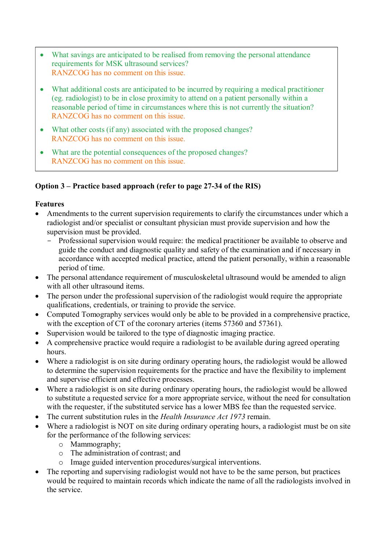- What savings are anticipated to be realised from removing the personal attendance requirements for MSK ultrasound services? RANZCOG has no comment on this issue.
- What additional costs are anticipated to be incurred by requiring a medical practitioner (eg. radiologist) to be in close proximity to attend on a patient personally within a reasonable period of time in circumstances where this is not currently the situation? RANZCOG has no comment on this issue.
- What other costs (if any) associated with the proposed changes? RANZCOG has no comment on this issue.
- What are the potential consequences of the proposed changes? RANZCOG has no comment on this issue.

# **Option 3 – Practice based approach (refer to page 27-34 of the RIS)**

# **Features**

- Amendments to the current supervision requirements to clarify the circumstances under which a radiologist and/or specialist or consultant physician must provide supervision and how the supervision must be provided.
	- Professional supervision would require: the medical practitioner be available to observe and guide the conduct and diagnostic quality and safety of the examination and if necessary in accordance with accepted medical practice, attend the patient personally, within a reasonable period of time.
- The personal attendance requirement of musculoskeletal ultrasound would be amended to align with all other ultrasound items.
- The person under the professional supervision of the radiologist would require the appropriate qualifications, credentials, or training to provide the service.
- Computed Tomography services would only be able to be provided in a comprehensive practice, with the exception of CT of the coronary arteries (items 57360 and 57361).
- Supervision would be tailored to the type of diagnostic imaging practice.
- A comprehensive practice would require a radiologist to be available during agreed operating hours.
- Where a radiologist is on site during ordinary operating hours, the radiologist would be allowed to determine the supervision requirements for the practice and have the flexibility to implement and supervise efficient and effective processes.
- Where a radiologist is on site during ordinary operating hours, the radiologist would be allowed to substitute a requested service for a more appropriate service, without the need for consultation with the requester, if the substituted service has a lower MBS fee than the requested service.
- The current substitution rules in the *Health Insurance Act 1973* remain.
- Where a radiologist is NOT on site during ordinary operating hours, a radiologist must be on site for the performance of the following services:
	- o Mammography;
	- o The administration of contrast; and
	- o Image guided intervention procedures/surgical interventions.
- The reporting and supervising radiologist would not have to be the same person, but practices would be required to maintain records which indicate the name of all the radiologists involved in the service.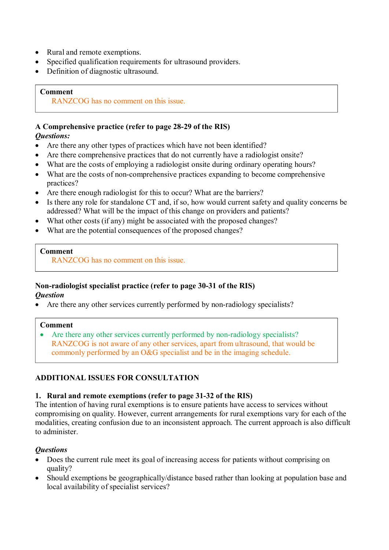- Rural and remote exemptions.
- Specified qualification requirements for ultrasound providers.
- Definition of diagnostic ultrasound.

# **Comment**

RANZCOG has no comment on this issue.

# **A Comprehensive practice (refer to page 28-29 of the RIS)**

# *Questions:*

- Are there any other types of practices which have not been identified?
- Are there comprehensive practices that do not currently have a radiologist onsite?
- What are the costs of employing a radiologist onsite during ordinary operating hours?
- What are the costs of non-comprehensive practices expanding to become comprehensive practices?
- Are there enough radiologist for this to occur? What are the barriers?
- Is there any role for standalone CT and, if so, how would current safety and quality concerns be addressed? What will be the impact of this change on providers and patients?
- What other costs (if any) might be associated with the proposed changes?
- What are the potential consequences of the proposed changes?

#### **Comment** RANZCOG has no comment on this issue.

# **Non-radiologist specialist practice (refer to page 30-31 of the RIS)**  *Question*

Are there any other services currently performed by non-radiology specialists?

# **Comment**

 Are there any other services currently performed by non-radiology specialists? RANZCOG is not aware of any other services, apart from ultrasound, that would be commonly performed by an O&G specialist and be in the imaging schedule.

# **ADDITIONAL ISSUES FOR CONSULTATION**

# **1. Rural and remote exemptions (refer to page 31-32 of the RIS)**

The intention of having rural exemptions is to ensure patients have access to services without compromising on quality. However, current arrangements for rural exemptions vary for each of the modalities, creating confusion due to an inconsistent approach. The current approach is also difficult to administer.

# *Questions*

- Does the current rule meet its goal of increasing access for patients without comprising on quality?
- Should exemptions be geographically/distance based rather than looking at population base and local availability of specialist services?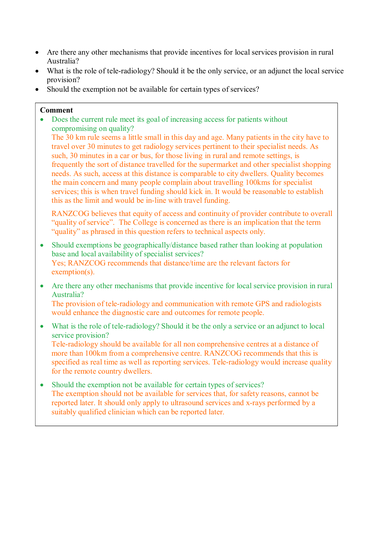- Are there any other mechanisms that provide incentives for local services provision in rural Australia?
- What is the role of tele-radiology? Should it be the only service, or an adjunct the local service provision?
- Should the exemption not be available for certain types of services?

# **Comment**

• Does the current rule meet its goal of increasing access for patients without compromising on quality?

The 30 km rule seems a little small in this day and age. Many patients in the city have to travel over 30 minutes to get radiology services pertinent to their specialist needs. As such, 30 minutes in a car or bus, for those living in rural and remote settings, is frequently the sort of distance travelled for the supermarket and other specialist shopping needs. As such, access at this distance is comparable to city dwellers. Quality becomes the main concern and many people complain about travelling 100kms for specialist services; this is when travel funding should kick in. It would be reasonable to establish this as the limit and would be in-line with travel funding.

RANZCOG believes that equity of access and continuity of provider contribute to overall "quality of service". The College is concerned as there is an implication that the term "quality" as phrased in this question refers to technical aspects only.

- Should exemptions be geographically/distance based rather than looking at population base and local availability of specialist services? Yes; RANZCOG recommends that distance/time are the relevant factors for exemption(s).
- Are there any other mechanisms that provide incentive for local service provision in rural Australia?

The provision of tele-radiology and communication with remote GPS and radiologists would enhance the diagnostic care and outcomes for remote people.

 What is the role of tele-radiology? Should it be the only a service or an adjunct to local service provision?

Tele-radiology should be available for all non comprehensive centres at a distance of more than 100km from a comprehensive centre. RANZCOG recommends that this is specified as real time as well as reporting services. Tele-radiology would increase quality for the remote country dwellers.

• Should the exemption not be available for certain types of services? The exemption should not be available for services that, for safety reasons, cannot be reported later. It should only apply to ultrasound services and x-rays performed by a suitably qualified clinician which can be reported later.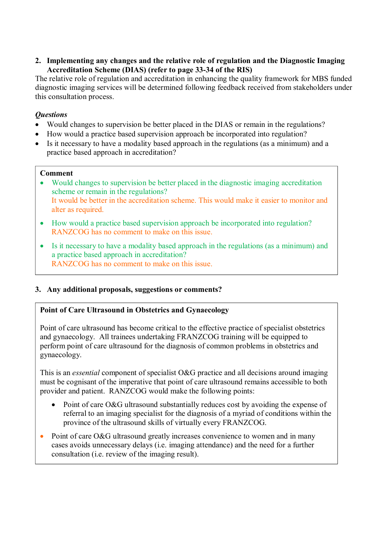**2. Implementing any changes and the relative role of regulation and the Diagnostic Imaging Accreditation Scheme (DIAS) (refer to page 33-34 of the RIS)** 

The relative role of regulation and accreditation in enhancing the quality framework for MBS funded diagnostic imaging services will be determined following feedback received from stakeholders under this consultation process.

# *Questions*

- Would changes to supervision be better placed in the DIAS or remain in the regulations?
- How would a practice based supervision approach be incorporated into regulation?
- Is it necessary to have a modality based approach in the regulations (as a minimum) and a practice based approach in accreditation?

#### **Comment**

- Would changes to supervision be better placed in the diagnostic imaging accreditation scheme or remain in the regulations? It would be better in the accreditation scheme. This would make it easier to monitor and alter as required.
- How would a practice based supervision approach be incorporated into regulation? RANZCOG has no comment to make on this issue.
- Is it necessary to have a modality based approach in the regulations (as a minimum) and a practice based approach in accreditation? RANZCOG has no comment to make on this issue.

# **3. Any additional proposals, suggestions or comments?**

# **Point of Care Ultrasound in Obstetrics and Gynaecology**

Point of care ultrasound has become critical to the effective practice of specialist obstetrics and gynaecology. All trainees undertaking FRANZCOG training will be equipped to perform point of care ultrasound for the diagnosis of common problems in obstetrics and gynaecology.

This is an *essential* component of specialist O&G practice and all decisions around imaging must be cognisant of the imperative that point of care ultrasound remains accessible to both provider and patient. RANZCOG would make the following points:

- Point of care O&G ultrasound substantially reduces cost by avoiding the expense of referral to an imaging specialist for the diagnosis of a myriad of conditions within the province of the ultrasound skills of virtually every FRANZCOG.
- Point of care O&G ultrasound greatly increases convenience to women and in many cases avoids unnecessary delays (i.e. imaging attendance) and the need for a further consultation (i.e. review of the imaging result).